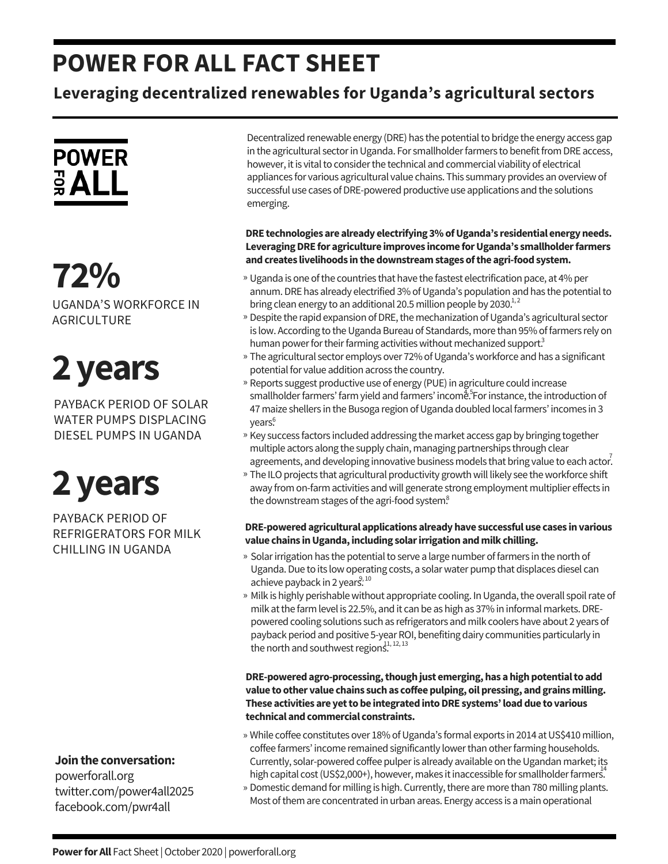## **POWER FOR ALL FACT SHEET**

**Leveraging decentralized renewables for Uganda's agricultural sectors**

## **POWER** ទី **ALL**

# **72%**

UGANDA'S WORKFORCE IN AGRICULTURE

# **2years**

PAYBACK PERIOD OF SOLAR WATER PUMPS DISPLACING DIESEL PUMPS IN UGANDA

# **2years**

PAYBACK PERIOD OF REFRIGERATORS FOR MILK CHILLING IN UGANDA

### **Jointhe conversation:**

powerforall.org twitter.com/power4all2025 facebook.com/pwr4all

Decentralized renewable energy (DRE) has the potential to bridge the energy access gap in the agricultural sector in Uganda. For smallholder farmers to benefit from DRE access, however, it is vital to consider the technical and commercial viability of electrical appliances for various agricultural value chains. This summary provides an overviewof successful use cases of DRE-powered productive use applications and the solutions emerging.

### **DRE technologies are already electrifying 3%ofUganda's residential energyneeds. LeveragingDRE for agriculture improves income forUganda's smallholderfarmers andcreates livelihoods inthedownstreamstages ofthe agri-foodsystem.**

- » Uganda is one of the countries that have the fastest electrification pace, at 4% per annum. DRE has already electrified 3% of Uganda's population and has the potential to bring clean energy to an additional 20.5 million people by 2030. $^{1,2}$
- » Despite the rapid expansion of DRE, the mechanization of Uganda's agricultural sector is low. According to the Uganda Bureau of Standards, more than 95% of farmers rely on human power for their farming activities without mechanized support.<sup>3</sup>
- » The agricultural sector employs over 72% of Uganda's workforce and has a significant potential for value addition across the country.
- » Reports suggest productive use of energy (PUE) in agriculture could increase smallholder farmers' farm yield and farmers' incom<sup>4,5</sup>For instance, the introduction of 47 maize shellers in the Busoga region of Uganda doubled local farmers' incomes in 3 years. 6
- » Key success factors included addressing the market access gap by bringing together multiple actors along the supply chain, managing partnerships through clear agreements, and developing innovative business models that bring value to each actor.
- » The ILO projects that agricultural productivity growth will likely see the workforce shift away from on-farm activities and will generate strong employment multiplier effects in the downstream stages of the agri-food system.<sup>8</sup>

### **DRE-poweredagricultural applications alreadyhave successfuluse cases invarious value chains inUganda,including solarirrigationandmilk chilling.**

- » Solar irrigation has the potential to serve a large number of farmers in the north of Uganda.Due to its lowoperating costs, a solarwater pump that displaces diesel can achieve payback in 2 years.<sup>3, 10</sup>
- » Milk is highly perishable without appropriate cooling. In Uganda, the overall spoil rate of milk at the farm level is 22.5%, and it can be as high as 37% in informal markets. DREpowered cooling solutions such as refrigerators and milk coolers have about 2 years of payback period and positive 5-year ROI, benefiting dairy communities particularly in the north and southwest regions.<sup>11, 12, 13</sup>

### **DRE-poweredagro-processing,thoughjust emerging,has ahighpotentialto add value to other value chains suchas coffeepulping, oilpressing, andgrainsmilling. These activities are yettobe integratedintoDRE systems'loaddue to various technical andcommercial constraints.**

- » While coffee constitutes over 18% of Uganda's formal exports in 2014 at US\$410 million, coffee farmers' income remained significantly lower than other farming households. Currently, solar-powered coffee pulper is already available on the Ugandan market; its high capital cost (US\$2,000+), however, makes it inaccessible for smallholder farmers.
- » Domestic demand for milling is high. Currently, there are more than 780 milling plants. Most of them are concentrated in urban areas. Energy access is a main operational